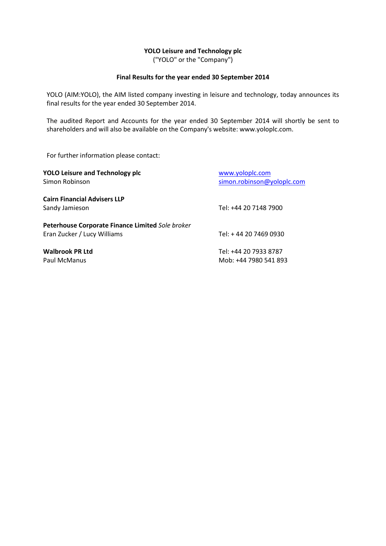## **YOLO Leisure and Technology plc**

("YOLO" or the "Company")

### **Final Results for the year ended 30 September 2014**

YOLO (AIM:YOLO), the AIM listed company investing in leisure and technology, today announces its final results for the year ended 30 September 2014.

The audited Report and Accounts for the year ended 30 September 2014 will shortly be sent to shareholders and will also be available on the Company's website: www.yoloplc.com.

For further information please contact:

| <b>YOLO Leisure and Technology plc</b>           | www.yoloplc.com            |
|--------------------------------------------------|----------------------------|
| Simon Robinson                                   | simon.robinson@yoloplc.com |
| <b>Cairn Financial Advisers LLP</b>              |                            |
| Sandy Jamieson                                   | Tel: +44 20 7148 7900      |
| Peterhouse Corporate Finance Limited Sole broker |                            |
| Eran Zucker / Lucy Williams                      | Tel: +44 20 7469 0930      |
| <b>Walbrook PR Ltd</b>                           | Tel: +44 20 7933 8787      |
| Paul McManus                                     | Mob: +44 7980 541 893      |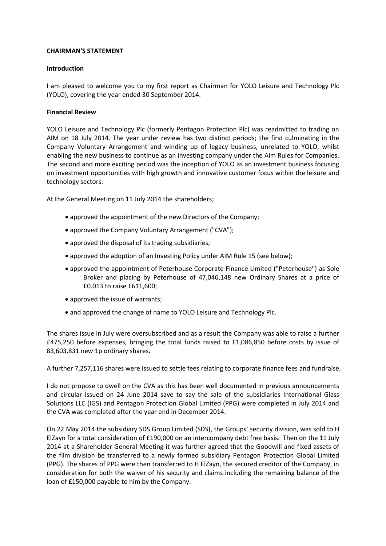### **CHAIRMAN'S STATEMENT**

### **Introduction**

I am pleased to welcome you to my first report as Chairman for YOLO Leisure and Technology Plc (YOLO), covering the year ended 30 September 2014.

### **Financial Review**

YOLO Leisure and Technology Plc (formerly Pentagon Protection Plc) was readmitted to trading on AIM on 18 July 2014. The year under review has two distinct periods; the first culminating in the Company Voluntary Arrangement and winding up of legacy business, unrelated to YOLO, whilst enabling the new business to continue as an investing company under the Aim Rules for Companies. The second and more exciting period was the inception of YOLO as an investment business focusing on investment opportunities with high growth and innovative customer focus within the leisure and technology sectors.

At the General Meeting on 11 July 2014 the shareholders;

- approved the appointment of the new Directors of the Company;
- approved the Company Voluntary Arrangement ("CVA");
- approved the disposal of its trading subsidiaries;
- approved the adoption of an Investing Policy under AIM Rule 15 (see below);
- approved the appointment of Peterhouse Corporate Finance Limited ("Peterhouse") as Sole Broker and placing by Peterhouse of 47,046,148 new Ordinary Shares at a price of £0.013 to raise £611,600;
- approved the issue of warrants;
- and approved the change of name to YOLO Leisure and Technology Plc.

The shares issue in July were oversubscribed and as a result the Company was able to raise a further £475,250 before expenses, bringing the total funds raised to £1,086,850 before costs by issue of 83,603,831 new 1p ordinary shares.

A further 7,257,116 shares were issued to settle fees relating to corporate finance fees and fundraise.

I do not propose to dwell on the CVA as this has been well documented in previous announcements and circular issued on 24 June 2014 save to say the sale of the subsidiaries International Glass Solutions LLC (IGS) and Pentagon Protection Global Limited (PPG) were completed in July 2014 and the CVA was completed after the year end in December 2014.

On 22 May 2014 the subsidiary SDS Group Limited (SDS), the Groups' security division, was sold to H ElZayn for a total consideration of £190,000 on an intercompany debt free basis. Then on the 11 July 2014 at a Shareholder General Meeting it was further agreed that the Goodwill and fixed assets of the film division be transferred to a newly formed subsidiary Pentagon Protection Global Limited (PPG). The shares of PPG were then transferred to H ElZayn, the secured creditor of the Company, in consideration for both the waiver of his security and claims including the remaining balance of the loan of £150,000 payable to him by the Company.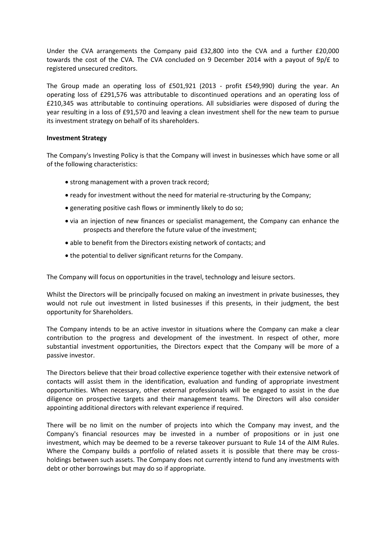Under the CVA arrangements the Company paid £32,800 into the CVA and a further £20,000 towards the cost of the CVA. The CVA concluded on 9 December 2014 with a payout of 9p/£ to registered unsecured creditors.

The Group made an operating loss of £501,921 (2013 - profit £549,990) during the year. An operating loss of £291,576 was attributable to discontinued operations and an operating loss of £210,345 was attributable to continuing operations. All subsidiaries were disposed of during the year resulting in a loss of £91,570 and leaving a clean investment shell for the new team to pursue its investment strategy on behalf of its shareholders.

### **Investment Strategy**

The Company's Investing Policy is that the Company will invest in businesses which have some or all of the following characteristics:

- strong management with a proven track record:
- ready for investment without the need for material re-structuring by the Company;
- generating positive cash flows or imminently likely to do so;
- via an injection of new finances or specialist management, the Company can enhance the prospects and therefore the future value of the investment;
- able to benefit from the Directors existing network of contacts; and
- the potential to deliver significant returns for the Company.

The Company will focus on opportunities in the travel, technology and leisure sectors.

Whilst the Directors will be principally focused on making an investment in private businesses, they would not rule out investment in listed businesses if this presents, in their judgment, the best opportunity for Shareholders.

The Company intends to be an active investor in situations where the Company can make a clear contribution to the progress and development of the investment. In respect of other, more substantial investment opportunities, the Directors expect that the Company will be more of a passive investor.

The Directors believe that their broad collective experience together with their extensive network of contacts will assist them in the identification, evaluation and funding of appropriate investment opportunities. When necessary, other external professionals will be engaged to assist in the due diligence on prospective targets and their management teams. The Directors will also consider appointing additional directors with relevant experience if required.

There will be no limit on the number of projects into which the Company may invest, and the Company's financial resources may be invested in a number of propositions or in just one investment, which may be deemed to be a reverse takeover pursuant to Rule 14 of the AIM Rules. Where the Company builds a portfolio of related assets it is possible that there may be crossholdings between such assets. The Company does not currently intend to fund any investments with debt or other borrowings but may do so if appropriate.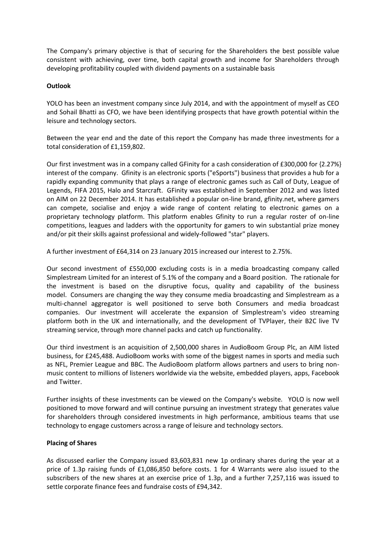The Company's primary objective is that of securing for the Shareholders the best possible value consistent with achieving, over time, both capital growth and income for Shareholders through developing profitability coupled with dividend payments on a sustainable basis

## **Outlook**

YOLO has been an investment company since July 2014, and with the appointment of myself as CEO and Sohail Bhatti as CFO, we have been identifying prospects that have growth potential within the leisure and technology sectors.

Between the year end and the date of this report the Company has made three investments for a total consideration of £1,159,802.

Our first investment was in a company called GFinity for a cash consideration of £300,000 for {2.27%} interest of the company. Gfinity is an electronic sports ("eSports") business that provides a hub for a rapidly expanding community that plays a range of electronic games such as Call of Duty, League of Legends, FIFA 2015, Halo and Starcraft. GFinity was established in September 2012 and was listed on AIM on 22 December 2014. It has established a popular on-line brand, gfinity.net, where gamers can compete, socialise and enjoy a wide range of content relating to electronic games on a proprietary technology platform. This platform enables Gfinity to run a regular roster of on-line competitions, leagues and ladders with the opportunity for gamers to win substantial prize money and/or pit their skills against professional and widely-followed "star" players.

A further investment of £64,314 on 23 January 2015 increased our interest to 2.75%.

Our second investment of £550,000 excluding costs is in a media broadcasting company called Simplestream Limited for an interest of 5.1% of the company and a Board position. The rationale for the investment is based on the disruptive focus, quality and capability of the business model. Consumers are changing the way they consume media broadcasting and Simplestream as a multi-channel aggregator is well positioned to serve both Consumers and media broadcast companies. Our investment will accelerate the expansion of Simplestream's video streaming platform both in the UK and internationally, and the development of TVPlayer, their B2C live TV streaming service, through more channel packs and catch up functionality.

Our third investment is an acquisition of 2,500,000 shares in AudioBoom Group Plc, an AIM listed business, for £245,488. AudioBoom works with some of the biggest names in sports and media such as NFL, Premier League and BBC. The AudioBoom platform allows partners and users to bring nonmusic content to millions of listeners worldwide via the website, embedded players, apps, Facebook and Twitter.

Further insights of these investments can be viewed on the Company's website. YOLO is now well positioned to move forward and will continue pursuing an investment strategy that generates value for shareholders through considered investments in high performance, ambitious teams that use technology to engage customers across a range of leisure and technology sectors.

### **Placing of Shares**

As discussed earlier the Company issued 83,603,831 new 1p ordinary shares during the year at a price of 1.3p raising funds of £1,086,850 before costs. 1 for 4 Warrants were also issued to the subscribers of the new shares at an exercise price of 1.3p, and a further 7,257,116 was issued to settle corporate finance fees and fundraise costs of £94,342.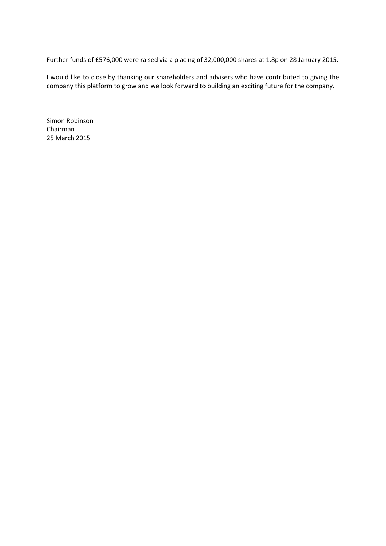Further funds of £576,000 were raised via a placing of 32,000,000 shares at 1.8p on 28 January 2015.

I would like to close by thanking our shareholders and advisers who have contributed to giving the company this platform to grow and we look forward to building an exciting future for the company.

Simon Robinson Chairman 25 March 2015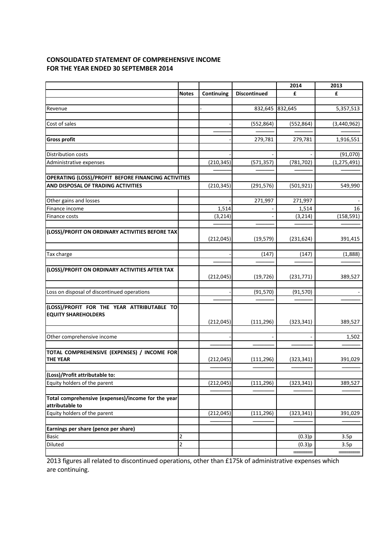## **CONSOLIDATED STATEMENT OF COMPREHENSIVE INCOME FOR THE YEAR ENDED 30 SEPTEMBER 2014**

|                                                                          |              |                   |                     | 2014       | 2013          |
|--------------------------------------------------------------------------|--------------|-------------------|---------------------|------------|---------------|
|                                                                          | <b>Notes</b> | <b>Continuing</b> | <b>Discontinued</b> | £          | £             |
|                                                                          |              |                   |                     |            |               |
| Revenue                                                                  |              |                   | 832,645 832,645     |            | 5,357,513     |
|                                                                          |              |                   |                     |            |               |
| Cost of sales                                                            |              |                   | (552, 864)          | (552, 864) | (3,440,962)   |
| <b>Gross profit</b>                                                      |              |                   | 279,781             | 279,781    | 1,916,551     |
|                                                                          |              |                   |                     |            |               |
| <b>Distribution costs</b>                                                |              |                   |                     |            | (91,070)      |
| Administrative expenses                                                  |              | (210, 345)        | (571, 357)          | (781, 702) | (1, 275, 491) |
|                                                                          |              |                   |                     |            |               |
| OPERATING (LOSS)/PROFIT BEFORE FINANCING ACTIVITIES                      |              |                   |                     |            |               |
| AND DISPOSAL OF TRADING ACTIVITIES                                       |              | (210, 345)        | (291, 576)          | (501, 921) | 549,990       |
|                                                                          |              |                   |                     |            |               |
| Other gains and losses                                                   |              |                   | 271,997             | 271,997    |               |
| Finance income                                                           |              | 1,514             |                     | 1,514      | 16            |
| Finance costs                                                            |              | (3, 214)          |                     | (3, 214)   | (158, 591)    |
| (LOSS)/PROFIT ON ORDINARY ACTIVITIES BEFORE TAX                          |              |                   |                     |            |               |
|                                                                          |              | (212, 045)        | (19, 579)           | (231, 624) | 391,415       |
|                                                                          |              |                   |                     |            |               |
| Tax charge                                                               |              |                   | (147)               | (147)      | (1,888)       |
|                                                                          |              |                   |                     |            |               |
| (LOSS)/PROFIT ON ORDINARY ACTIVITIES AFTER TAX                           |              | (212, 045)        | (19, 726)           | (231, 771) | 389,527       |
| Loss on disposal of discontinued operations                              |              |                   | (91, 570)           |            |               |
|                                                                          |              |                   |                     | (91, 570)  |               |
| (LOSS)/PROFIT FOR THE YEAR ATTRIBUTABLE TO<br><b>EQUITY SHAREHOLDERS</b> |              | (212, 045)        | (111, 296)          | (323, 341) | 389,527       |
|                                                                          |              |                   |                     |            |               |
| Other comprehensive income                                               |              |                   |                     |            | 1,502         |
| TOTAL COMPREHENSIVE (EXPENSES) / INCOME FOR<br><b>THE YEAR</b>           |              | (212, 045)        | (111, 296)          | (323, 341) | 391,029       |
|                                                                          |              |                   |                     |            |               |
| (Loss)/Profit attributable to:                                           |              |                   |                     |            |               |
| Equity holders of the parent                                             |              | (212, 045)        | (111, 296)          | (323, 341) | 389,527       |
| Total comprehensive (expenses)/income for the year<br>attributable to    |              |                   |                     |            |               |
| Equity holders of the parent                                             |              | (212, 045)        | (111, 296)          | (323, 341) | 391,029       |
|                                                                          |              |                   |                     |            |               |
| Earnings per share (pence per share)                                     |              |                   |                     |            |               |
| <b>Basic</b>                                                             | 2            |                   |                     | (0.3)p     | 3.5p          |
| Diluted                                                                  | 2            |                   |                     | (0.3)p     | 3.5p          |
|                                                                          |              |                   |                     |            |               |

2013 figures all related to discontinued operations, other than £175k of administrative expenses which are continuing.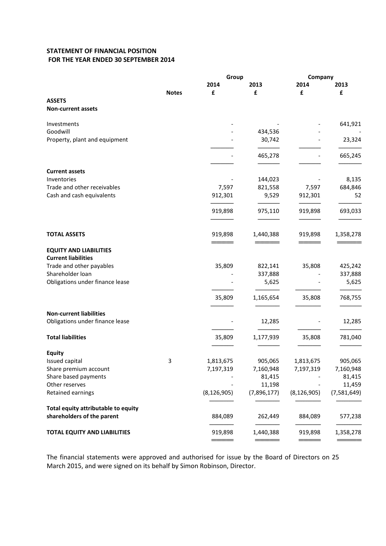## **STATEMENT OF FINANCIAL POSITION FOR THE YEAR ENDED 30 SEPTEMBER 2014**

|                                            |              |               | Group<br>Company |               |             |  |
|--------------------------------------------|--------------|---------------|------------------|---------------|-------------|--|
|                                            |              | 2014          | 2013             | 2014          | 2013        |  |
|                                            | <b>Notes</b> | £             | £                | £             | £           |  |
| <b>ASSETS</b><br><b>Non-current assets</b> |              |               |                  |               |             |  |
|                                            |              |               |                  |               |             |  |
| Investments                                |              |               |                  |               | 641,921     |  |
| Goodwill                                   |              |               | 434,536          |               |             |  |
| Property, plant and equipment              |              |               | 30,742           |               | 23,324      |  |
|                                            |              |               | 465,278          |               | 665,245     |  |
| <b>Current assets</b>                      |              |               |                  |               |             |  |
| Inventories                                |              |               | 144,023          |               | 8,135       |  |
| Trade and other receivables                |              | 7,597         | 821,558          | 7,597         | 684,846     |  |
| Cash and cash equivalents                  |              | 912,301       | 9,529            | 912,301       | 52          |  |
|                                            |              | 919,898       | 975,110          | 919,898       | 693,033     |  |
| <b>TOTAL ASSETS</b>                        |              | 919,898       | 1,440,388        | 919,898       | 1,358,278   |  |
| <b>EQUITY AND LIABILITIES</b>              |              |               |                  |               |             |  |
| <b>Current liabilities</b>                 |              |               |                  |               |             |  |
| Trade and other payables                   |              | 35,809        | 822,141          | 35,808        | 425,242     |  |
| Shareholder loan                           |              |               | 337,888          |               | 337,888     |  |
| Obligations under finance lease            |              |               | 5,625            |               | 5,625       |  |
|                                            |              | 35,809        | 1,165,654        | 35,808        | 768,755     |  |
|                                            |              |               |                  |               |             |  |
| <b>Non-current liabilities</b>             |              |               |                  |               |             |  |
| Obligations under finance lease            |              |               | 12,285           |               | 12,285      |  |
| <b>Total liabilities</b>                   |              | 35,809        | 1,177,939        | 35,808        | 781,040     |  |
| <b>Equity</b>                              |              |               |                  |               |             |  |
| Issued capital                             | 3            | 1,813,675     | 905,065          | 1,813,675     | 905,065     |  |
| Share premium account                      |              | 7,197,319     | 7,160,948        | 7,197,319     | 7,160,948   |  |
| Share based payments                       |              |               | 81,415           |               | 81,415      |  |
| Other reserves                             |              |               | 11,198           |               | 11,459      |  |
| Retained earnings                          |              | (8, 126, 905) | (7,896,177)      | (8, 126, 905) | (7,581,649) |  |
| Total equity attributable to equity        |              |               |                  |               |             |  |
| shareholders of the parent                 |              | 884,089       | 262,449          | 884,089       | 577,238     |  |
| <b>TOTAL EQUITY AND LIABILITIES</b>        |              | 919,898       | 1,440,388        | 919,898       | 1,358,278   |  |
|                                            |              |               |                  |               |             |  |

The financial statements were approved and authorised for issue by the Board of Directors on 25 March 2015, and were signed on its behalf by Simon Robinson, Director.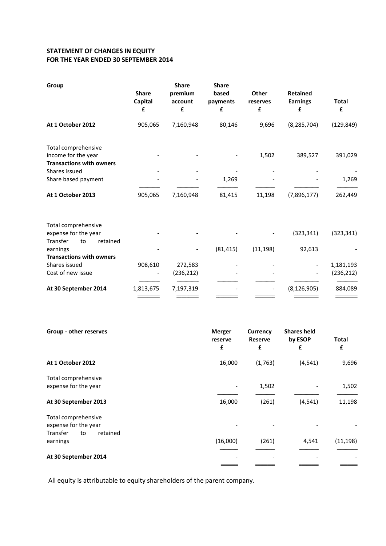# **STATEMENT OF CHANGES IN EQUITY FOR THE YEAR ENDED 30 SEPTEMBER 2014**

| Group                                                                         | <b>Share</b><br>Capital<br>£ | <b>Share</b><br>premium<br>account<br>£ | <b>Share</b><br>based<br>payments<br>£ | <b>Other</b><br>reserves<br>£ | <b>Retained</b><br><b>Earnings</b><br>£ | <b>Total</b><br>£ |
|-------------------------------------------------------------------------------|------------------------------|-----------------------------------------|----------------------------------------|-------------------------------|-----------------------------------------|-------------------|
| At 1 October 2012                                                             | 905,065                      | 7,160,948                               | 80,146                                 | 9,696                         | (8, 285, 704)                           | (129, 849)        |
| Total comprehensive<br>income for the year<br><b>Transactions with owners</b> |                              |                                         |                                        | 1,502                         | 389,527                                 | 391,029           |
| Shares issued                                                                 |                              |                                         |                                        |                               |                                         |                   |
| Share based payment                                                           |                              |                                         | 1,269                                  |                               |                                         | 1,269             |
|                                                                               |                              |                                         |                                        |                               |                                         |                   |
| At 1 October 2013                                                             | 905,065                      | 7,160,948                               | 81,415                                 | 11,198                        | (7,896,177)                             | 262,449           |
| Total comprehensive                                                           |                              |                                         |                                        |                               |                                         |                   |
| expense for the year                                                          |                              |                                         |                                        |                               | (323, 341)                              | (323, 341)        |
| Transfer<br>to<br>retained<br>earnings                                        |                              |                                         | (81, 415)                              | (11, 198)                     | 92,613                                  |                   |
| <b>Transactions with owners</b>                                               |                              |                                         |                                        |                               |                                         |                   |
| Shares issued                                                                 | 908,610                      | 272,583                                 |                                        |                               |                                         | 1,181,193         |
| Cost of new issue                                                             |                              | (236, 212)                              |                                        |                               |                                         | (236, 212)        |
| At 30 September 2014                                                          | 1,813,675                    | 7,197,319                               |                                        |                               | (8, 126, 905)                           | 884,089           |
|                                                                               |                              |                                         |                                        |                               |                                         |                   |

| Group - other reserves                                                    | <b>Merger</b><br>reserve<br>£ | <b>Currency</b><br><b>Reserve</b><br>£ | <b>Shares held</b><br>by ESOP<br>£ | <b>Total</b><br>£ |
|---------------------------------------------------------------------------|-------------------------------|----------------------------------------|------------------------------------|-------------------|
| At 1 October 2012                                                         | 16,000                        | (1,763)                                | (4, 541)                           | 9,696             |
| Total comprehensive<br>expense for the year                               |                               | 1,502                                  |                                    | 1,502             |
| At 30 September 2013                                                      | 16,000                        | (261)                                  | (4, 541)                           | 11,198            |
| Total comprehensive<br>expense for the year<br>Transfer<br>retained<br>to |                               |                                        |                                    |                   |
| earnings                                                                  | (16,000)                      | (261)                                  | 4,541                              | (11, 198)         |
| At 30 September 2014                                                      |                               |                                        |                                    |                   |

All equity is attributable to equity shareholders of the parent company.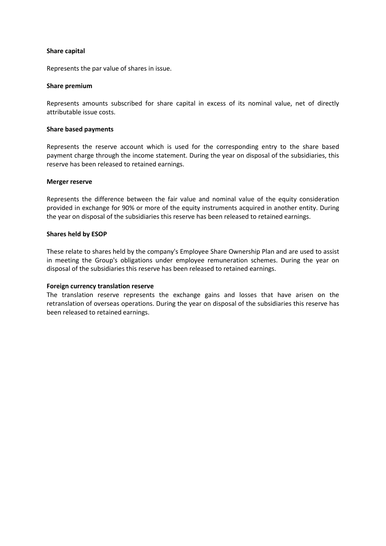### **Share capital**

Represents the par value of shares in issue.

### **Share premium**

Represents amounts subscribed for share capital in excess of its nominal value, net of directly attributable issue costs.

### **Share based payments**

Represents the reserve account which is used for the corresponding entry to the share based payment charge through the income statement. During the year on disposal of the subsidiaries, this reserve has been released to retained earnings.

### **Merger reserve**

Represents the difference between the fair value and nominal value of the equity consideration provided in exchange for 90% or more of the equity instruments acquired in another entity. During the year on disposal of the subsidiaries this reserve has been released to retained earnings.

### **Shares held by ESOP**

These relate to shares held by the company's Employee Share Ownership Plan and are used to assist in meeting the Group's obligations under employee remuneration schemes. During the year on disposal of the subsidiaries this reserve has been released to retained earnings.

### **Foreign currency translation reserve**

The translation reserve represents the exchange gains and losses that have arisen on the retranslation of overseas operations. During the year on disposal of the subsidiaries this reserve has been released to retained earnings.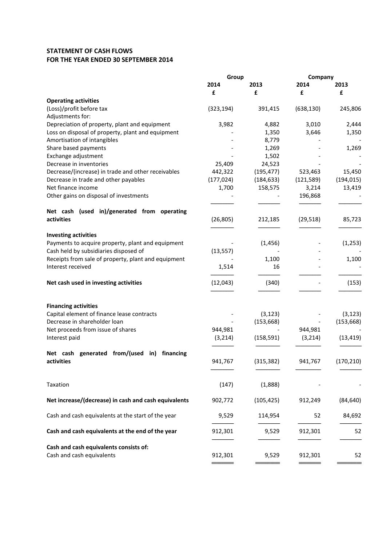## **STATEMENT OF CASH FLOWS FOR THE YEAR ENDED 30 SEPTEMBER 2014**

|                                                            | Group               |                       | Company             |            |
|------------------------------------------------------------|---------------------|-----------------------|---------------------|------------|
|                                                            | 2014                | 2013                  | 2014                | 2013       |
|                                                            | £                   | £                     | £                   | £          |
| <b>Operating activities</b>                                |                     |                       |                     |            |
| (Loss)/profit before tax                                   | (323, 194)          | 391,415               | (638, 130)          | 245,806    |
| Adjustments for:                                           |                     |                       |                     |            |
| Depreciation of property, plant and equipment              | 3,982               | 4,882                 | 3,010               | 2,444      |
| Loss on disposal of property, plant and equipment          |                     | 1,350                 | 3,646               | 1,350      |
| Amortisation of intangibles                                |                     | 8,779                 |                     |            |
| Share based payments                                       |                     | 1,269                 |                     | 1,269      |
| Exchange adjustment                                        |                     | 1,502                 |                     |            |
| Decrease in inventories                                    | 25,409              | 24,523                |                     |            |
| Decrease/(increase) in trade and other receivables         | 442,322             | (195, 477)            | 523,463             | 15,450     |
| Decrease in trade and other payables<br>Net finance income | (177, 024)<br>1,700 | (184, 633)<br>158,575 | (121, 589)<br>3,214 | (194, 015) |
| Other gains on disposal of investments                     |                     |                       | 196,868             | 13,419     |
|                                                            |                     |                       |                     |            |
| Net cash (used in)/generated from operating                |                     |                       |                     |            |
| activities                                                 | (26, 805)           | 212,185               | (29, 518)           | 85,723     |
|                                                            |                     |                       |                     |            |
| <b>Investing activities</b>                                |                     |                       |                     |            |
| Payments to acquire property, plant and equipment          |                     | (1, 456)              |                     | (1,253)    |
| Cash held by subsidiaries disposed of                      | (13, 557)           |                       |                     |            |
| Receipts from sale of property, plant and equipment        |                     | 1,100                 |                     | 1,100      |
| Interest received                                          | 1,514               | 16                    |                     |            |
|                                                            |                     |                       |                     |            |
| Net cash used in investing activities                      | (12, 043)           | (340)                 |                     | (153)      |
|                                                            |                     |                       |                     |            |
|                                                            |                     |                       |                     |            |
| <b>Financing activities</b>                                |                     |                       |                     |            |
| Capital element of finance lease contracts                 |                     | (3, 123)              |                     | (3, 123)   |
| Decrease in shareholder loan                               |                     | (153, 668)            |                     | (153, 668) |
| Net proceeds from issue of shares                          | 944,981             |                       | 944,981             |            |
| Interest paid                                              | (3, 214)            | (158, 591)            | (3, 214)            | (13, 419)  |
|                                                            |                     |                       |                     |            |
| Net cash generated from/(used in) financing<br>activities  |                     |                       |                     |            |
|                                                            | 941,767             | (315, 382)            | 941,767             | (170, 210) |
|                                                            |                     |                       |                     |            |
| Taxation                                                   | (147)               | (1,888)               |                     |            |
|                                                            |                     |                       |                     |            |
| Net increase/(decrease) in cash and cash equivalents       | 902,772             | (105, 425)            | 912,249             | (84, 640)  |
|                                                            |                     |                       |                     |            |
| Cash and cash equivalents at the start of the year         | 9,529               | 114,954               | 52                  | 84,692     |
|                                                            |                     |                       |                     |            |
| Cash and cash equivalents at the end of the year           | 912,301             | 9,529                 | 912,301             | 52         |
|                                                            |                     |                       |                     |            |
| Cash and cash equivalents consists of:                     |                     |                       |                     |            |
| Cash and cash equivalents                                  | 912,301             | 9,529                 | 912,301             | 52         |
|                                                            |                     |                       |                     |            |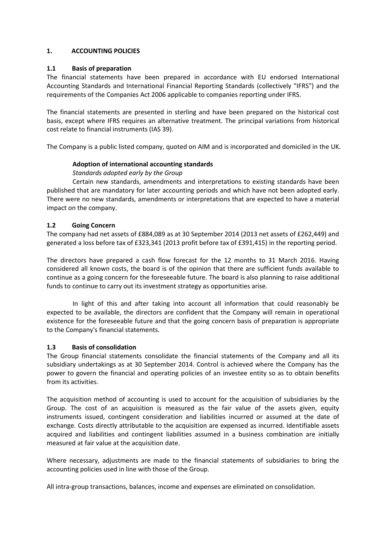## **1. ACCOUNTING POLICIES**

## **1.1 Basis of preparation**

The financial statements have been prepared in accordance with EU endorsed International Accounting Standards and International Financial Reporting Standards (collectively "IFRS") and the requirements of the Companies Act 2006 applicable to companies reporting under IFRS.

The financial statements are presented in sterling and have been prepared on the historical cost basis, except where IFRS requires an alternative treatment. The principal variations from historical cost relate to financial instruments (IAS 39).

The Company is a public listed company, quoted on AIM and is incorporated and domiciled in the UK.

## **Adoption of international accounting standards**

## *Standards adopted early by the Group*

Certain new standards, amendments and interpretations to existing standards have been published that are mandatory for later accounting periods and which have not been adopted early. There were no new standards, amendments or interpretations that are expected to have a material impact on the company.

## **1.2 Going Concern**

The company had net assets of £884,089 as at 30 September 2014 (2013 net assets of £262,449) and generated a loss before tax of £323,341 (2013 profit before tax of £391,415) in the reporting period.

The directors have prepared a cash flow forecast for the 12 months to 31 March 2016. Having considered all known costs, the board is of the opinion that there are sufficient funds available to continue as a going concern for the foreseeable future. The board is also planning to raise additional funds to continue to carry out its investment strategy as opportunities arise.

In light of this and after taking into account all information that could reasonably be expected to be available, the directors are confident that the Company will remain in operational existence for the foreseeable future and that the going concern basis of preparation is appropriate to the Company's financial statements.

### **1.3 Basis of consolidation**

The Group financial statements consolidate the financial statements of the Company and all its subsidiary undertakings as at 30 September 2014. Control is achieved where the Company has the power to govern the financial and operating policies of an investee entity so as to obtain benefits from its activities.

The acquisition method of accounting is used to account for the acquisition of subsidiaries by the Group. The cost of an acquisition is measured as the fair value of the assets given, equity instruments issued, contingent consideration and liabilities incurred or assumed at the date of exchange. Costs directly attributable to the acquisition are expensed as incurred. Identifiable assets acquired and liabilities and contingent liabilities assumed in a business combination are initially measured at fair value at the acquisition date.

Where necessary, adjustments are made to the financial statements of subsidiaries to bring the accounting policies used in line with those of the Group.

All intra-group transactions, balances, income and expenses are eliminated on consolidation.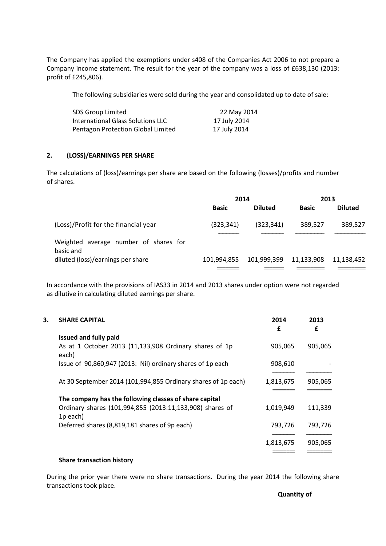The Company has applied the exemptions under s408 of the Companies Act 2006 to not prepare a Company income statement. The result for the year of the company was a loss of £638,130 (2013: profit of £245,806).

The following subsidiaries were sold during the year and consolidated up to date of sale:

| SDS Group Limited                  | 22 May 2014  |
|------------------------------------|--------------|
| International Glass Solutions LLC  | 17 July 2014 |
| Pentagon Protection Global Limited | 17 July 2014 |

## **2. (LOSS)/EARNINGS PER SHARE**

The calculations of (loss)/earnings per share are based on the following (losses)/profits and number of shares.

|                                                    | 2014         |                | 2013         |                |
|----------------------------------------------------|--------------|----------------|--------------|----------------|
|                                                    | <b>Basic</b> | <b>Diluted</b> | <b>Basic</b> | <b>Diluted</b> |
| (Loss)/Profit for the financial year               | (323, 341)   | (323, 341)     | 389,527      | 389,527        |
| Weighted average number of shares for<br>basic and |              |                |              |                |
| diluted (loss)/earnings per share                  | 101.994.855  | 101,999,399    | 11,133,908   | 11.138.452     |
|                                                    |              |                |              |                |

In accordance with the provisions of IAS33 in 2014 and 2013 shares under option were not regarded as dilutive in calculating diluted earnings per share.

| 3. | <b>SHARE CAPITAL</b>                                                             | 2014<br>£ | 2013<br>£ |
|----|----------------------------------------------------------------------------------|-----------|-----------|
|    | <b>Issued and fully paid</b>                                                     |           |           |
|    | As at 1 October 2013 (11,133,908 Ordinary shares of 1p<br>each)                  | 905,065   | 905,065   |
|    | Issue of 90,860,947 (2013: Nil) ordinary shares of 1p each                       | 908,610   |           |
|    |                                                                                  |           |           |
|    | At 30 September 2014 (101,994,855 Ordinary shares of 1p each)                    | 1,813,675 | 905,065   |
|    |                                                                                  |           |           |
|    | The company has the following classes of share capital                           |           |           |
|    | Ordinary shares (101,994,855 (2013:11,133,908) shares of<br>1 <sub>p</sub> each) | 1,019,949 | 111,339   |
|    | Deferred shares (8,819,181 shares of 9p each)                                    | 793,726   | 793,726   |
|    |                                                                                  | 1,813,675 | 905,065   |
|    |                                                                                  |           |           |

#### **Share transaction history**

During the prior year there were no share transactions. During the year 2014 the following share transactions took place.

**Quantity of**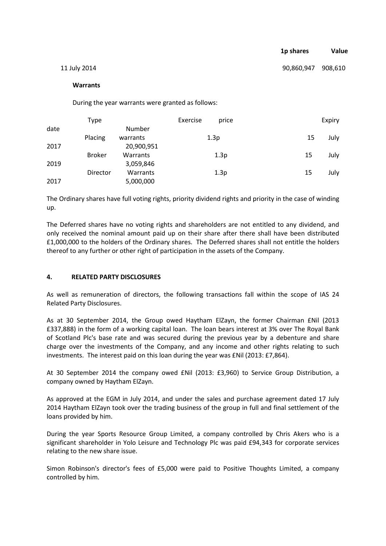|              | 1p shares          | Value |
|--------------|--------------------|-------|
| 11 July 2014 | 90,860,947 908,610 |       |

#### **Warrants**

During the year warrants were granted as follows:

|      | Type            |                    | Exercise | price |    | Expiry |
|------|-----------------|--------------------|----------|-------|----|--------|
| date | Placing         | Number<br>warrants |          | 1.3p  | 15 | July   |
| 2017 |                 | 20,900,951         |          |       |    |        |
|      | <b>Broker</b>   | Warrants           |          | 1.3p  | 15 | July   |
| 2019 |                 | 3,059,846          |          |       |    |        |
|      | <b>Director</b> | Warrants           |          | 1.3p  | 15 | July   |
| 2017 |                 | 5,000,000          |          |       |    |        |

The Ordinary shares have full voting rights, priority dividend rights and priority in the case of winding up.

The Deferred shares have no voting rights and shareholders are not entitled to any dividend, and only received the nominal amount paid up on their share after there shall have been distributed £1,000,000 to the holders of the Ordinary shares. The Deferred shares shall not entitle the holders thereof to any further or other right of participation in the assets of the Company.

### **4. RELATED PARTY DISCLOSURES**

As well as remuneration of directors, the following transactions fall within the scope of IAS 24 Related Party Disclosures.

As at 30 September 2014, the Group owed Haytham ElZayn, the former Chairman £Nil (2013 £337,888) in the form of a working capital loan. The loan bears interest at 3% over The Royal Bank of Scotland Plc's base rate and was secured during the previous year by a debenture and share charge over the investments of the Company, and any income and other rights relating to such investments. The interest paid on this loan during the year was £Nil (2013: £7,864).

At 30 September 2014 the company owed £Nil (2013: £3,960) to Service Group Distribution, a company owned by Haytham ElZayn.

As approved at the EGM in July 2014, and under the sales and purchase agreement dated 17 July 2014 Haytham ElZayn took over the trading business of the group in full and final settlement of the loans provided by him.

During the year Sports Resource Group Limited, a company controlled by Chris Akers who is a significant shareholder in Yolo Leisure and Technology Plc was paid £94,343 for corporate services relating to the new share issue.

Simon Robinson's director's fees of £5,000 were paid to Positive Thoughts Limited, a company controlled by him.